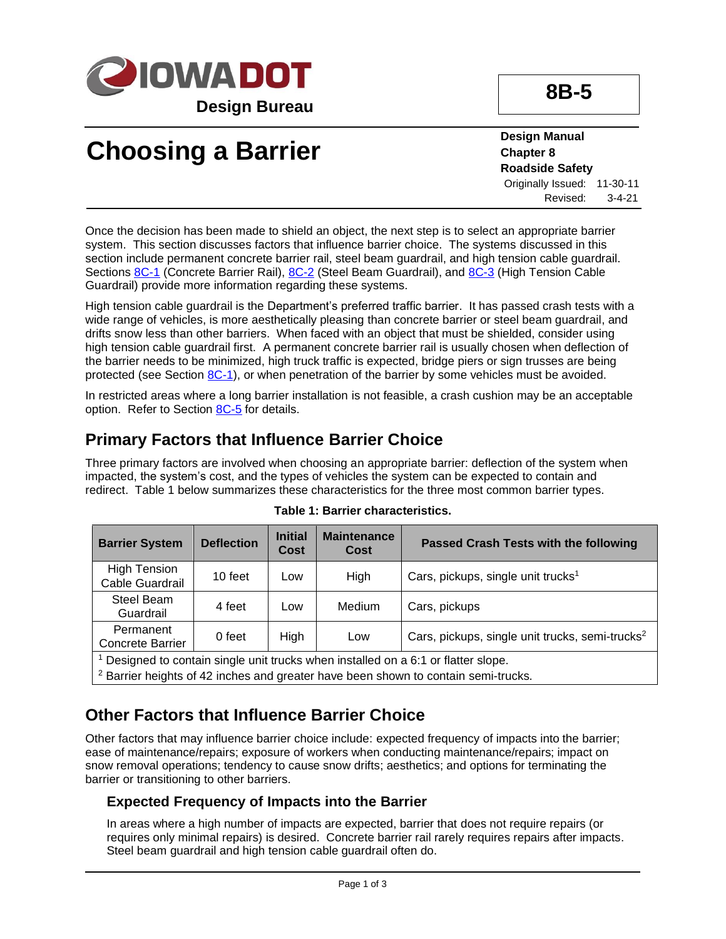

# **Choosing a Barrier**

**Design Manual Chapter 8 Roadside Safety** Originally Issued: 11-30-11 Revised: 3-4-21

Once the decision has been made to shield an object, the next step is to select an appropriate barrier system. This section discusses factors that influence barrier choice. The systems discussed in this section include permanent concrete barrier rail, steel beam guardrail, and high tension cable guardrail. Sections [8C-1](08c-01.pdf) (Concrete Barrier Rail), [8C-2](08c-02.pdf) (Steel Beam Guardrail), and [8C-3](08c-03.pdf) (High Tension Cable Guardrail) provide more information regarding these systems.

High tension cable guardrail is the Department's preferred traffic barrier. It has passed crash tests with a wide range of vehicles, is more aesthetically pleasing than concrete barrier or steel beam guardrail, and drifts snow less than other barriers. When faced with an object that must be shielded, consider using high tension cable guardrail first. A permanent concrete barrier rail is usually chosen when deflection of the barrier needs to be minimized, high truck traffic is expected, bridge piers or sign trusses are being protected (see Section [8C-1\)](08c-01.pdf), or when penetration of the barrier by some vehicles must be avoided.

In restricted areas where a long barrier installation is not feasible, a crash cushion may be an acceptable option. Refer to Section [8C-5](08c-05.pdf) for details.

## **Primary Factors that Influence Barrier Choice**

Three primary factors are involved when choosing an appropriate barrier: deflection of the system when impacted, the system's cost, and the types of vehicles the system can be expected to contain and redirect. Table 1 below summarizes these characteristics for the three most common barrier types.

| <b>Barrier System</b>                                                              | <b>Deflection</b> | <b>Initial</b><br><b>Cost</b> | <b>Maintenance</b><br>Cost | Passed Crash Tests with the following                       |  |
|------------------------------------------------------------------------------------|-------------------|-------------------------------|----------------------------|-------------------------------------------------------------|--|
| <b>High Tension</b><br>Cable Guardrail                                             | 10 feet           | Low                           | High                       | Cars, pickups, single unit trucks <sup>1</sup>              |  |
| Steel Beam<br>Guardrail                                                            | 4 feet            | Low                           | Medium                     | Cars, pickups                                               |  |
| Permanent<br><b>Concrete Barrier</b>                                               | 0 feet            | High                          | Low                        | Cars, pickups, single unit trucks, semi-trucks <sup>2</sup> |  |
| 1 Designaad ta santaja singku wit tu jaka waa installad sa sa Cid nu flattau slang |                   |                               |                            |                                                             |  |

#### **Table 1: Barrier characteristics.**

Designed to contain single unit trucks when installed on a 6:1 or flatter slope.

<sup>2</sup> Barrier heights of 42 inches and greater have been shown to contain semi-trucks.

## **Other Factors that Influence Barrier Choice**

Other factors that may influence barrier choice include: expected frequency of impacts into the barrier; ease of maintenance/repairs; exposure of workers when conducting maintenance/repairs; impact on snow removal operations; tendency to cause snow drifts; aesthetics; and options for terminating the barrier or transitioning to other barriers.

### **Expected Frequency of Impacts into the Barrier**

In areas where a high number of impacts are expected, barrier that does not require repairs (or requires only minimal repairs) is desired. Concrete barrier rail rarely requires repairs after impacts. Steel beam guardrail and high tension cable guardrail often do.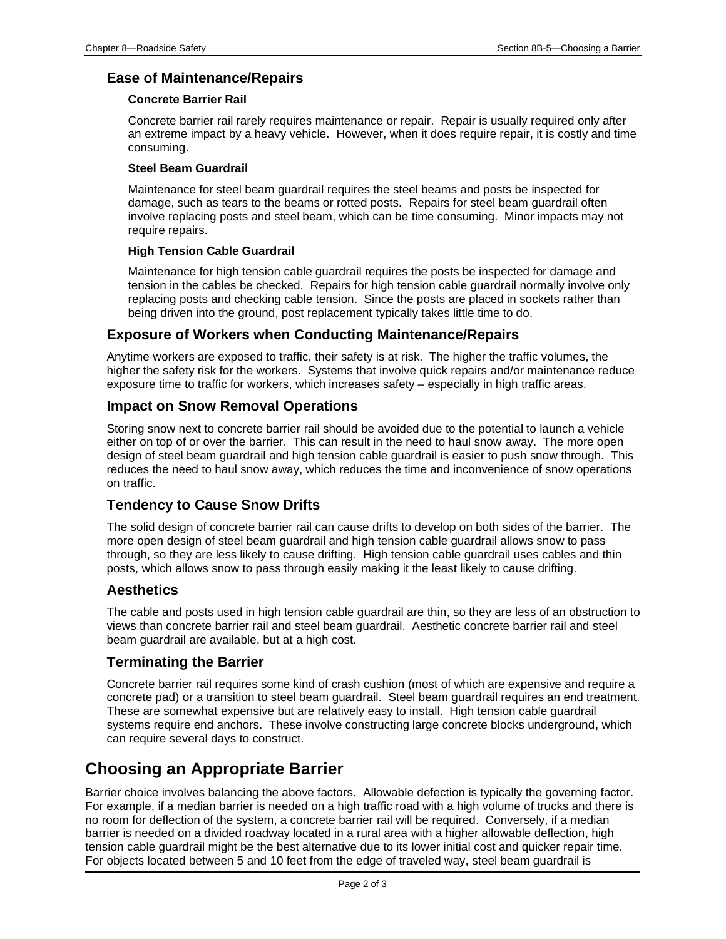### **Ease of Maintenance/Repairs**

#### **Concrete Barrier Rail**

Concrete barrier rail rarely requires maintenance or repair. Repair is usually required only after an extreme impact by a heavy vehicle. However, when it does require repair, it is costly and time consuming.

#### **Steel Beam Guardrail**

Maintenance for steel beam guardrail requires the steel beams and posts be inspected for damage, such as tears to the beams or rotted posts. Repairs for steel beam guardrail often involve replacing posts and steel beam, which can be time consuming. Minor impacts may not require repairs.

#### **High Tension Cable Guardrail**

Maintenance for high tension cable guardrail requires the posts be inspected for damage and tension in the cables be checked. Repairs for high tension cable guardrail normally involve only replacing posts and checking cable tension. Since the posts are placed in sockets rather than being driven into the ground, post replacement typically takes little time to do.

#### **Exposure of Workers when Conducting Maintenance/Repairs**

Anytime workers are exposed to traffic, their safety is at risk. The higher the traffic volumes, the higher the safety risk for the workers. Systems that involve quick repairs and/or maintenance reduce exposure time to traffic for workers, which increases safety – especially in high traffic areas.

#### **Impact on Snow Removal Operations**

Storing snow next to concrete barrier rail should be avoided due to the potential to launch a vehicle either on top of or over the barrier. This can result in the need to haul snow away. The more open design of steel beam guardrail and high tension cable guardrail is easier to push snow through. This reduces the need to haul snow away, which reduces the time and inconvenience of snow operations on traffic.

### **Tendency to Cause Snow Drifts**

The solid design of concrete barrier rail can cause drifts to develop on both sides of the barrier. The more open design of steel beam guardrail and high tension cable guardrail allows snow to pass through, so they are less likely to cause drifting. High tension cable guardrail uses cables and thin posts, which allows snow to pass through easily making it the least likely to cause drifting.

#### **Aesthetics**

The cable and posts used in high tension cable guardrail are thin, so they are less of an obstruction to views than concrete barrier rail and steel beam guardrail. Aesthetic concrete barrier rail and steel beam guardrail are available, but at a high cost.

#### **Terminating the Barrier**

Concrete barrier rail requires some kind of crash cushion (most of which are expensive and require a concrete pad) or a transition to steel beam guardrail. Steel beam guardrail requires an end treatment. These are somewhat expensive but are relatively easy to install. High tension cable guardrail systems require end anchors. These involve constructing large concrete blocks underground, which can require several days to construct.

## **Choosing an Appropriate Barrier**

Barrier choice involves balancing the above factors. Allowable defection is typically the governing factor. For example, if a median barrier is needed on a high traffic road with a high volume of trucks and there is no room for deflection of the system, a concrete barrier rail will be required. Conversely, if a median barrier is needed on a divided roadway located in a rural area with a higher allowable deflection, high tension cable guardrail might be the best alternative due to its lower initial cost and quicker repair time. For objects located between 5 and 10 feet from the edge of traveled way, steel beam guardrail is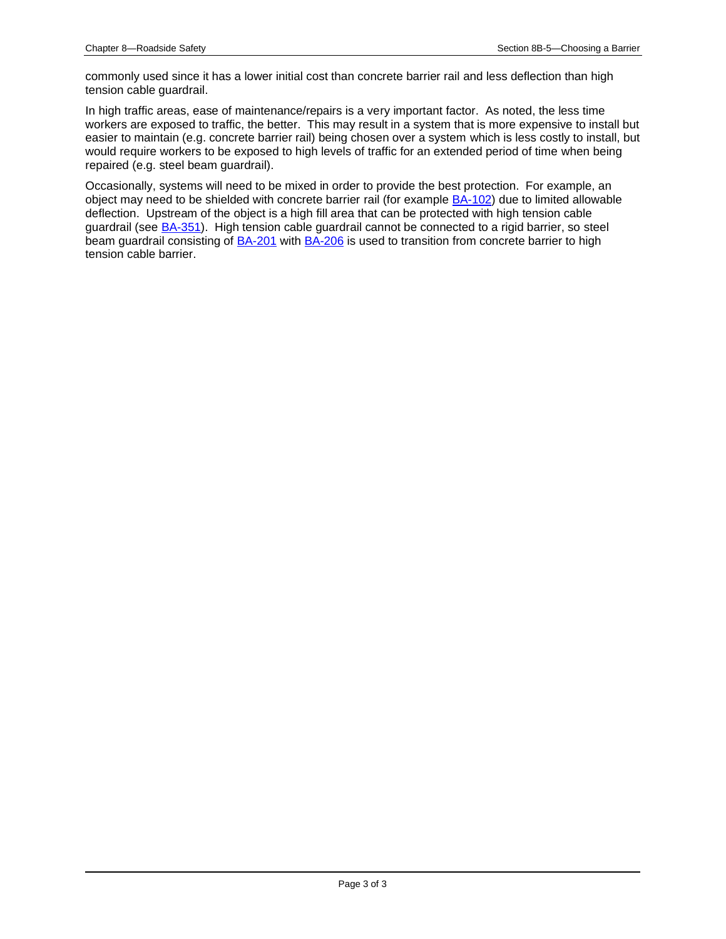commonly used since it has a lower initial cost than concrete barrier rail and less deflection than high tension cable guardrail.

In high traffic areas, ease of maintenance/repairs is a very important factor. As noted, the less time workers are exposed to traffic, the better. This may result in a system that is more expensive to install but easier to maintain (e.g. concrete barrier rail) being chosen over a system which is less costly to install, but would require workers to be exposed to high levels of traffic for an extended period of time when being repaired (e.g. steel beam guardrail).

Occasionally, systems will need to be mixed in order to provide the best protection. For example, an object may need to be shielded with concrete barrier rail (for example **BA-102**) due to limited allowable deflection. Upstream of the object is a high fill area that can be protected with high tension cable guardrail (see **BA-351**). High tension cable guardrail cannot be connected to a rigid barrier, so steel beam guardrail consisting of **[BA-201](../SRP/IndividualStandards/ba201.pdf)** with **BA-206** is used to transition from concrete barrier to high tension cable barrier.